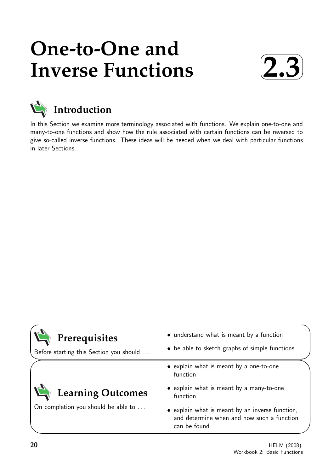# **One-to-One and Inverse Functions**





## **Introduction**

In this Section we examine more terminology associated with functions. We explain one-to-one and many-to-one functions and show how the rule associated with certain functions can be reversed to give so-called inverse functions. These ideas will be needed when we deal with particular functions in later Sections.

| Prerequisites<br>Before starting this Section you should | • understand what is meant by a function<br>• be able to sketch graphs of simple functions                    |
|----------------------------------------------------------|---------------------------------------------------------------------------------------------------------------|
|                                                          | • explain what is meant by a one-to-one<br>function                                                           |
| Learning Outcomes<br>On completion you should be able to | • explain what is meant by a many-to-one<br>function                                                          |
|                                                          | • explain what is meant by an inverse function,<br>and determine when and how such a function<br>can be found |

 $\overline{\phantom{0}}$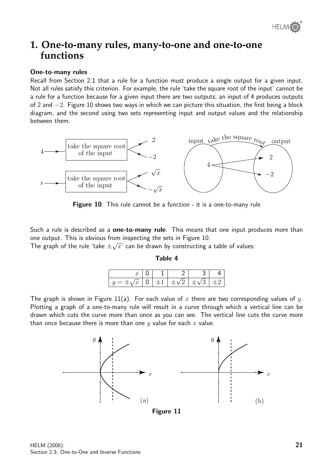

### **1. One-to-many rules, many-to-one and one-to-one functions**

#### One-to-many rules

Recall from Section 2.1 that a rule for a function must produce a single output for a given input. Not all rules satisfy this criterion. For example, the rule 'take the square root of the input' cannot be a rule for a function because for a given input there are two outputs; an input of 4 produces outputs of 2 and −2. Figure 10 shows two ways in which we can picture this situation, the first being a block diagram, and the second using two sets representing input and output values and the relationship between them.



**Figure 10**: This rule cannot be a function - it is a one-to-many rule

Such a rule is described as a **one-to-many rule**. This means that one input produces more than one output. This is obvious from inspecting the sets in Figure 10.

The graph of the rule 'take  $\pm \sqrt{x}$ ' can be drawn by constructing a table of values:

#### Table 4

| $= \pm \sqrt{x}$ |  | $ 0 \pm 1  \pm \sqrt{2}  \pm \sqrt{3} $ | $+$ |
|------------------|--|-----------------------------------------|-----|

The graph is shown in Figure 11(a). For each value of x there are two corresponding values of  $y$ . Plotting a graph of a one-to-many rule will result in a curve through which a vertical line can be drawn which cuts the curve more than once as you can see. The vertical line cuts the curve more than once because there is more than one  $y$  value for each  $x$  value.



Figure 11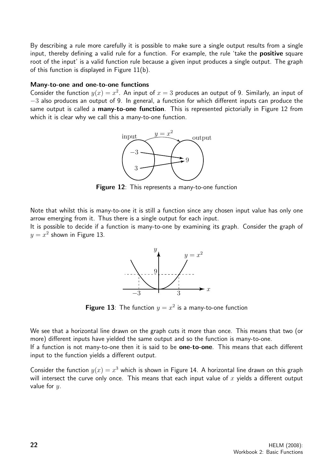By describing a rule more carefully it is possible to make sure a single output results from a single input, thereby defining a valid rule for a function. For example, the rule 'take the **positive** square root of the input' is a valid function rule because a given input produces a single output. The graph of this function is displayed in Figure 11(b).

#### Many-to-one and one-to-one functions

Consider the function  $y(x) = x^2$ . An input of  $x = 3$  produces an output of 9. Similarly, an input of −3 also produces an output of 9. In general, a function for which different inputs can produce the same output is called a many-to-one function. This is represented pictorially in Figure 12 from which it is clear why we call this a many-to-one function.



Figure 12: This represents a many-to-one function

Note that whilst this is many-to-one it is still a function since any chosen input value has only one arrow emerging from it. Thus there is a single output for each input.

It is possible to decide if a function is many-to-one by examining its graph. Consider the graph of  $y = x^2$  shown in Figure 13.



**Figure 13**: The function  $y = x^2$  is a many-to-one function

We see that a horizontal line drawn on the graph cuts it more than once. This means that two (or more) different inputs have yielded the same output and so the function is many-to-one. If a function is not many-to-one then it is said to be **one-to-one**. This means that each different

input to the function yields a different output.

Consider the function  $y(x) = x^3$  which is shown in Figure 14. A horizontal line drawn on this graph will intersect the curve only once. This means that each input value of  $x$  yields a different output value for  $u$ .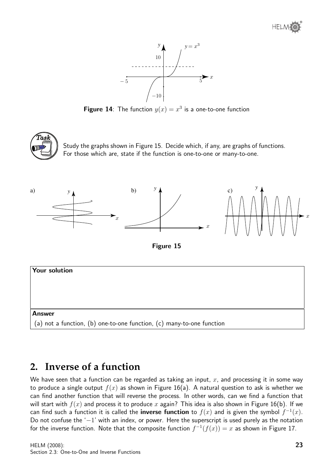

**Figure 14**: The function  $y(x) = x^3$  is a one-to-one function



Study the graphs shown in Figure 15. Decide which, if any, are graphs of functions. For those which are, state if the function is one-to-one or many-to-one.







## **2. Inverse of a function**

We have seen that a function can be regarded as taking an input,  $x$ , and processing it in some way to produce a single output  $f(x)$  as shown in Figure 16(a). A natural question to ask is whether we can find another function that will reverse the process. In other words, can we find a function that will start with  $f(x)$  and process it to produce x again? This idea is also shown in Figure 16(b). If we can find such a function it is called the **inverse function** to  $f(x)$  and is given the symbol  $f^{-1}(x)$ . Do not confuse the '−1' with an index, or power. Here the superscript is used purely as the notation for the inverse function. Note that the composite function  $f^{-1}(f(x)) = x$  as shown in Figure 17.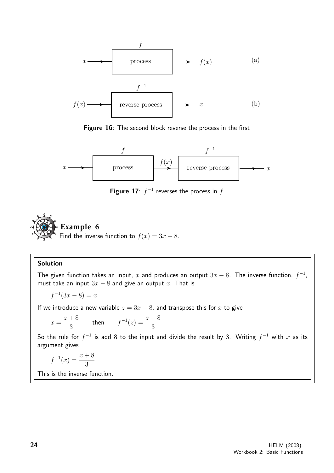

Figure 16: The second block reverse the process in the first



**Figure 17**:  $f^{-1}$  reverses the process in  $f$ 



#### Solution

The given function takes an input, x and produces an output  $3x - 8$ . The inverse function,  $f^{-1}$ , must take an input  $3x - 8$  and give an output x. That is

$$
f^{-1}(3x - 8) = x
$$

If we introduce a new variable  $z = 3x - 8$ , and transpose this for x to give

$$
x = \frac{z+8}{3} \qquad \text{then} \qquad f^{-1}(z) = \frac{z+8}{3}
$$

So the rule for  $f^{-1}$  is add 8 to the input and divide the result by 3. Writing  $f^{-1}$  with  $x$  as its argument gives

$$
f^{-1}(x) = \frac{x+8}{3}
$$

This is the inverse function.